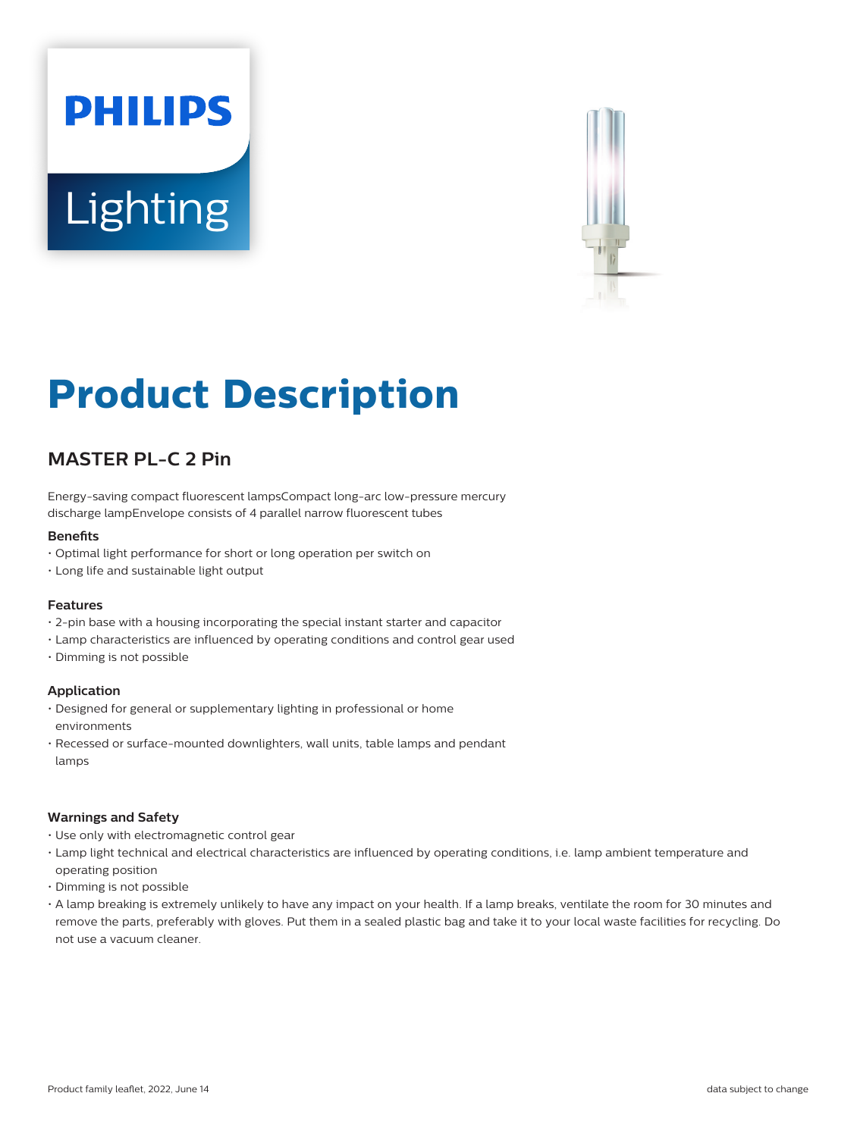# **PHILIPS Lighting**



# **Product Description**

# **MASTER PL-C 2 Pin**

Energy-saving compact fluorescent lampsCompact long-arc low-pressure mercury discharge lampEnvelope consists of 4 parallel narrow fluorescent tubes

#### **Benefits**

- Optimal light performance for short or long operation per switch on
- Long life and sustainable light output

#### **Features**

- 2-pin base with a housing incorporating the special instant starter and capacitor
- Lamp characteristics are influenced by operating conditions and control gear used
- Dimming is not possible

#### **Application**

- Designed for general or supplementary lighting in professional or home environments
- Recessed or surface-mounted downlighters, wall units, table lamps and pendant lamps

#### **Warnings and Safety**

- Use only with electromagnetic control gear
- Lamp light technical and electrical characteristics are influenced by operating conditions, i.e. lamp ambient temperature and operating position
- Dimming is not possible
- A lamp breaking is extremely unlikely to have any impact on your health. If a lamp breaks, ventilate the room for 30 minutes and remove the parts, preferably with gloves. Put them in a sealed plastic bag and take it to your local waste facilities for recycling. Do not use a vacuum cleaner.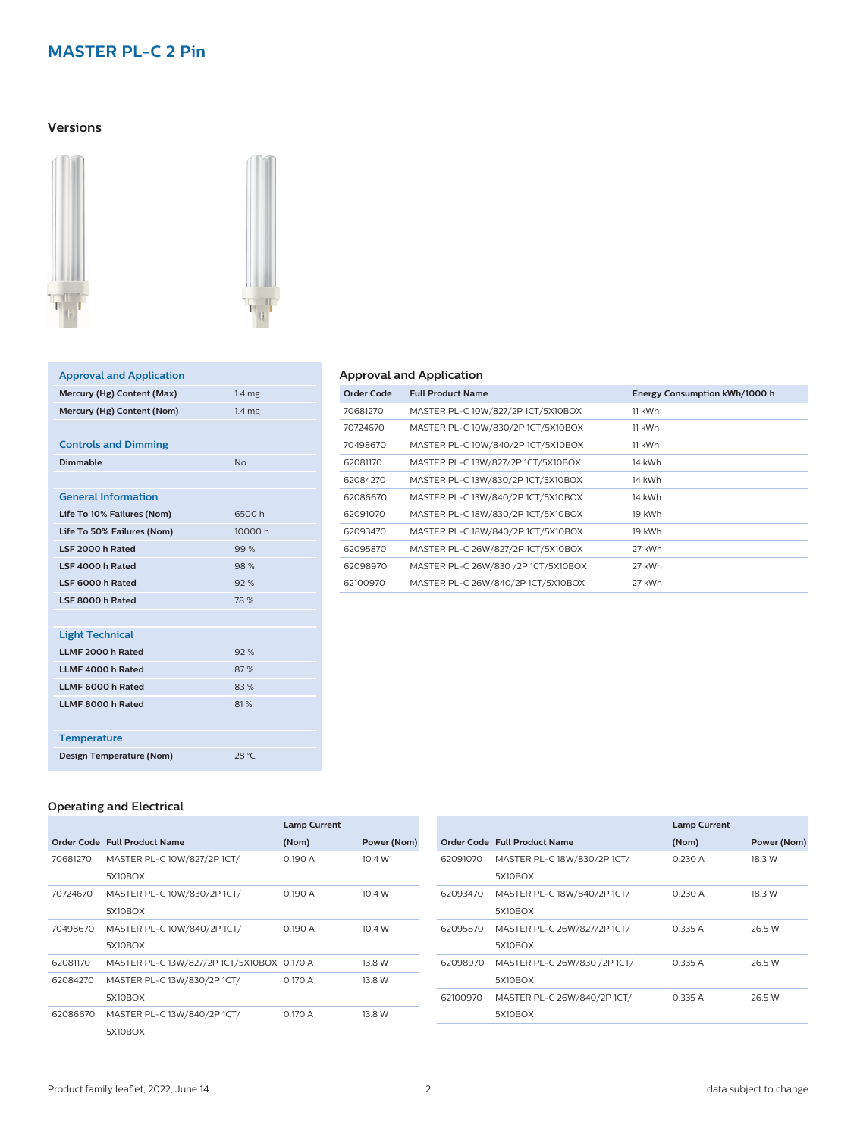# **MASTER PL-C 2 Pin**

#### **Versions**





| <b>Approval and Application</b> |                   |
|---------------------------------|-------------------|
| Mercury (Hg) Content (Max)      | 1.4 <sub>mg</sub> |
| Mercury (Hg) Content (Nom)      | 1.4 <sub>mg</sub> |
|                                 |                   |
| <b>Controls and Dimming</b>     |                   |
| Dimmable                        | N <sub>0</sub>    |
|                                 |                   |
| <b>General Information</b>      |                   |
| Life To 10% Failures (Nom)      | 6500h             |
| Life To 50% Failures (Nom)      | 10000 h           |
| LSF 2000 h Rated                | 99%               |
| LSF 4000 h Rated                | 98%               |
| LSF 6000 h Rated                | 92%               |
| LSF 8000 h Rated                | 78 %              |
|                                 |                   |
| <b>Light Technical</b>          |                   |
| LLMF 2000 h Rated               | 92%               |
| LLMF 4000 h Rated               | 87%               |
| LLMF 6000 h Rated               | 83%               |
| LLMF 8000 h Rated               | 81%               |
|                                 |                   |
| <b>Temperature</b>              |                   |
| Design Temperature (Nom)        | 28 °C             |

#### **Approval and Application**

| Order Code | <b>Full Product Name</b>            | Energy Consumption kWh/1000 h |
|------------|-------------------------------------|-------------------------------|
| 70681270   | MASTER PL-C 10W/827/2P 1CT/5X10BOX  | 11 kWh                        |
| 70724670   | MASTER PL-C 10W/830/2P 1CT/5X10BOX  | 11 kWh                        |
| 70498670   | MASTER PL-C 10W/840/2P 1CT/5X10BOX  | 11 kWh                        |
| 62081170   | MASTER PL-C 13W/827/2P 1CT/5X10BOX  | 14 kWh                        |
| 62084270   | MASTER PL-C 13W/830/2P 1CT/5X10BOX  | 14 kWh                        |
| 62086670   | MASTER PL-C 13W/840/2P 1CT/5X10BOX  | 14 kWh                        |
| 62091070   | MASTER PL-C 18W/830/2P 1CT/5X10BOX  | 19 kWh                        |
| 62093470   | MASTER PL-C 18W/840/2P 1CT/5X10BOX  | 19 kWh                        |
| 62095870   | MASTER PL-C 26W/827/2P 1CT/5X10BOX  | 27 kWh                        |
| 62098970   | MASTER PL-C 26W/830 /2P 1CT/5X10BOX | 27 kWh                        |
| 62100970   | MASTER PL-C 26W/840/2P 1CT/5X10BOX  | 27 kWh                        |
|            |                                     |                               |

#### **Operating and Electrical**

|          |                                            | <b>Lamp Current</b> |             |
|----------|--------------------------------------------|---------------------|-------------|
|          | Order Code Full Product Name               | (Nom)               | Power (Nom) |
| 70681270 | MASTER PL-C 10W/827/2P 1CT/                | 0.190 A             | 10.4W       |
|          | 5X10BOX                                    |                     |             |
| 70724670 | MASTER PL-C 10W/830/2P 1CT/                | 0.190 A             | 10.4 W      |
|          | 5X10BOX                                    |                     |             |
| 70498670 | MASTER PL-C 10W/840/2P 1CT/                | 0.190A              | 10.4W       |
|          | 5X10BOX                                    |                     |             |
| 62081170 | MASTER PL-C 13W/827/2P 1CT/5X10BOX 0.170 A |                     | 13.8 W      |
| 62084270 | MASTER PL-C 13W/830/2P 1CT/                | 0.170A              | 13.8 W      |
|          | 5X10BOX                                    |                     |             |
| 62086670 | MASTER PL-C 13W/840/2P 1CT/                | 0.170A              | 13.8 W      |
|          | 5X10BOX                                    |                     |             |

|          |                              | <b>Lamp Current</b> |             |
|----------|------------------------------|---------------------|-------------|
|          | Order Code Full Product Name | (Nom)               | Power (Nom) |
| 62091070 | MASTER PL-C 18W/830/2P 1CT/  | 0.230A              | 18.3 W      |
|          | 5X10BOX                      |                     |             |
| 62093470 | MASTER PL-C 18W/840/2P 1CT/  | 0.230A              | 18.3 W      |
|          | 5X10BOX                      |                     |             |
| 62095870 | MASTER PL-C 26W/827/2P 1CT/  | 0.335A              | 26.5 W      |
|          | 5X10BOX                      |                     |             |
| 62098970 | MASTER PL-C 26W/830 /2P 1CT/ | 0.335A              | 26.5 W      |
|          | 5X10BOX                      |                     |             |
| 62100970 | MASTER PL-C 26W/840/2P 1CT/  | 0.335A              | 26.5 W      |
|          | 5X10BOX                      |                     |             |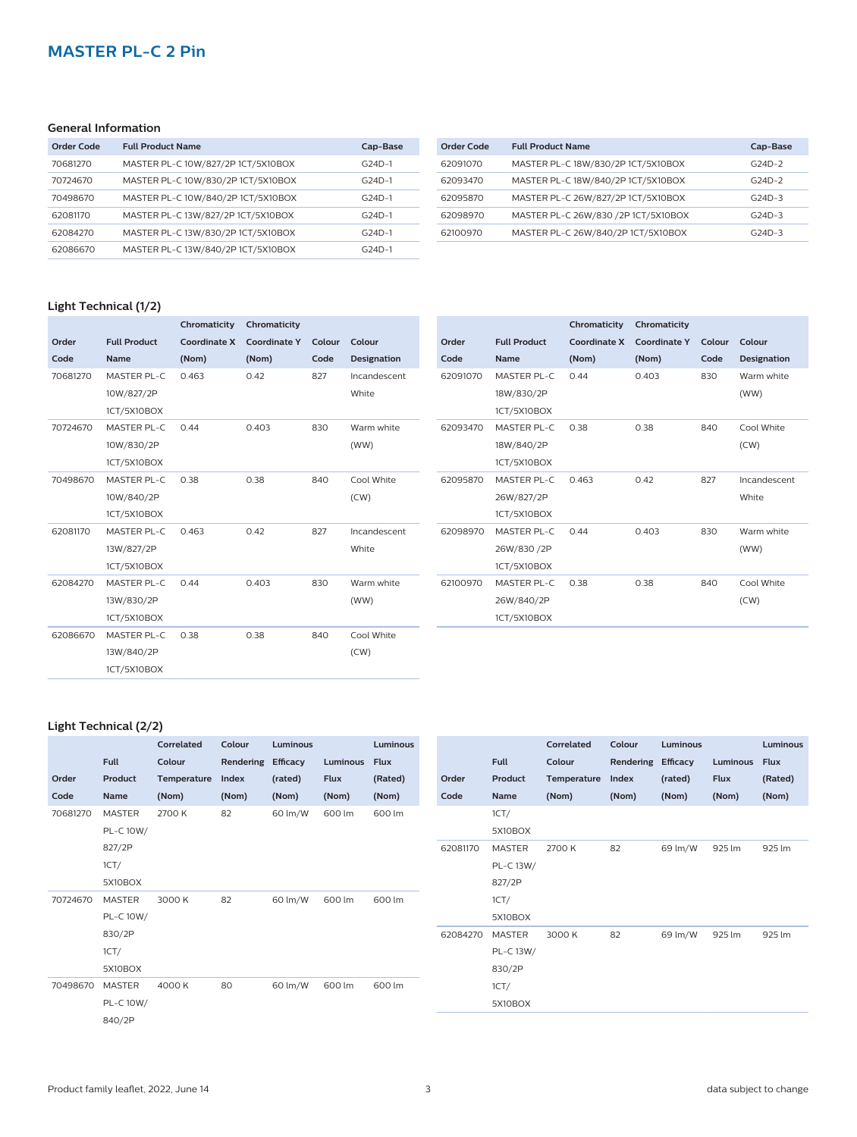# **MASTER PL-C 2 Pin**

#### **General Information**

| Order Code | <b>Full Product Name</b>           | Cap-Base |
|------------|------------------------------------|----------|
| 70681270   | MASTER PL-C 10W/827/2P 1CT/5X10BOX | $G24D-1$ |
| 70724670   | MASTER PL-C 10W/830/2P 1CT/5X10BOX | $G24D-1$ |
| 70498670   | MASTER PL-C 10W/840/2P 1CT/5X10BOX | $G24D-1$ |
| 62081170   | MASTER PL-C 13W/827/2P 1CT/5X10BOX | $G24D-1$ |
| 62084270   | MASTER PL-C 13W/830/2P 1CT/5X10BOX | $G24D-1$ |
| 62086670   | MASTER PL-C 13W/840/2P 1CT/5X10BOX | $G24D-1$ |

| Order Code | <b>Full Product Name</b>            | Cap-Base |
|------------|-------------------------------------|----------|
| 62091070   | MASTER PL-C 18W/830/2P 1CT/5X10BOX  | $G24D-2$ |
| 62093470   | MASTER PL-C 18W/840/2P 1CT/5X10BOX  | $G24D-2$ |
| 62095870   | MASTER PL-C 26W/827/2P 1CT/5X10BOX  | $G24D-3$ |
| 62098970   | MASTER PL-C 26W/830 /2P 1CT/5X10BOX | $G24D-3$ |
| 62100970   | MASTER PL-C 26W/840/2P 1CT/5X10BOX  | $G24D-3$ |
|            |                                     |          |

#### **Light Technical (1/2)**

|          |                     | Chromaticity        | Chromaticity        |        |                    |
|----------|---------------------|---------------------|---------------------|--------|--------------------|
| Order    | <b>Full Product</b> | <b>Coordinate X</b> | <b>Coordinate Y</b> | Colour | Colour             |
| Code     | <b>Name</b>         | (Nom)               | (Nom)               | Code   | <b>Designation</b> |
| 70681270 | MASTER PL-C         | 0.463               | 0.42                | 827    | Incandescent       |
|          | 10W/827/2P          |                     |                     |        | White              |
|          | 1CT/5X10BOX         |                     |                     |        |                    |
| 70724670 | MASTER PL-C         | 0.44                | 0.403               | 830    | Warm white         |
|          | 10W/830/2P          |                     |                     |        | (WW)               |
|          | 1CT/5X10BOX         |                     |                     |        |                    |
| 70498670 | <b>MASTER PL-C</b>  | 0.38                | 0.38                | 840    | Cool White         |
|          | 10W/840/2P          |                     |                     |        | (CW)               |
|          | 1CT/5X10BOX         |                     |                     |        |                    |
| 62081170 | MASTER PL-C         | 0.463               | 0.42                | 827    | Incandescent       |
|          | 13W/827/2P          |                     |                     |        | White              |
|          | 1CT/5X10BOX         |                     |                     |        |                    |
| 62084270 | MASTER PL-C         | 0.44                | 0.403               | 830    | Warm white         |
|          | 13W/830/2P          |                     |                     |        | (WW)               |
|          | 1CT/5X10BOX         |                     |                     |        |                    |
| 62086670 | MASTER PL-C         | 0.38                | 0.38                | 840    | Cool White         |
|          | 13W/840/2P          |                     |                     |        | (CW)               |
|          | 1CT/5X10BOX         |                     |                     |        |                    |

|          |                     | Chromaticity        | Chromaticity        |        |                    |
|----------|---------------------|---------------------|---------------------|--------|--------------------|
| Order    | <b>Full Product</b> | <b>Coordinate X</b> | <b>Coordinate Y</b> | Colour | Colour             |
| Code     | <b>Name</b>         | (Nom)               | (Nom)               | Code   | <b>Designation</b> |
| 62091070 | MASTER PL-C         | 0.44                | 0.403               | 830    | Warm white         |
|          | 18W/830/2P          |                     |                     |        | (WW)               |
|          | 1CT/5X10BOX         |                     |                     |        |                    |
| 62093470 | MASTER PL-C         | 0.38                | 0.38                | 840    | Cool White         |
|          | 18W/840/2P          |                     |                     |        | (CW)               |
|          | 1CT/5X10BOX         |                     |                     |        |                    |
| 62095870 | MASTER PL-C         | 0.463               | 0.42                | 827    | Incandescent       |
|          | 26W/827/2P          |                     |                     |        | White              |
|          | 1CT/5X10BOX         |                     |                     |        |                    |
| 62098970 | MASTER PL-C         | 0.44                | 0.403               | 830    | Warm white         |
|          | 26W/830 /2P         |                     |                     |        | (WW)               |
|          | 1CT/5X10BOX         |                     |                     |        |                    |
| 62100970 | MASTER PL-C         | 0.38                | 0.38                | 840    | Cool White         |
|          | 26W/840/2P          |                     |                     |        | (CW)               |
|          | 1CT/5X10BOX         |                     |                     |        |                    |

#### **Light Technical (2/2)**

|          | <b>Full</b>   | Correlated<br>Colour | Colour<br>Rendering Efficacy | Luminous | Luminous    | <b>Luminous</b><br><b>Flux</b> |          | <b>Full</b>   | Correlated<br>Colour | Colour<br>Rendering Efficacy | Luminous | Luminous    | <b>Luminous</b><br>Flux |
|----------|---------------|----------------------|------------------------------|----------|-------------|--------------------------------|----------|---------------|----------------------|------------------------------|----------|-------------|-------------------------|
| Order    | Product       | Temperature          | Index                        | (rated)  | <b>Flux</b> | (Rated)                        | Order    | Product       | Temperature          | Index                        | (rated)  | <b>Flux</b> | (Rated)                 |
| Code     | Name          | (Nom)                | (Nom)                        | (Nom)    | (Nom)       | (Nom)                          | Code     | Name          | (Nom)                | (Nom)                        | (Nom)    | (Nom)       | (Nom)                   |
| 70681270 | <b>MASTER</b> | 2700 K               | 82                           | 60 lm/W  | 600 lm      | 600 lm                         |          | 1CT/          |                      |                              |          |             |                         |
|          | PL-C 10W/     |                      |                              |          |             |                                |          | 5X10BOX       |                      |                              |          |             |                         |
|          | 827/2P        |                      |                              |          |             |                                | 62081170 | <b>MASTER</b> | 2700 K               | 82                           | 69 lm/W  | 925 lm      | 925 lm                  |
|          | 1CT/          |                      |                              |          |             |                                |          | PL-C 13W/     |                      |                              |          |             |                         |
|          | 5X10BOX       |                      |                              |          |             |                                |          | 827/2P        |                      |                              |          |             |                         |
| 70724670 | MASTER        | 3000 K               | 82                           | 60 lm/W  | 600 lm      | 600 lm                         |          | 1CT/          |                      |                              |          |             |                         |
|          | PL-C 10W/     |                      |                              |          |             |                                |          | 5X10BOX       |                      |                              |          |             |                         |
|          | 830/2P        |                      |                              |          |             |                                | 62084270 | MASTER        | 3000 K               | 82                           | 69 lm/W  | 925 lm      | 925 lm                  |
|          | 1CT/          |                      |                              |          |             |                                |          | PL-C 13W/     |                      |                              |          |             |                         |
|          | 5X10BOX       |                      |                              |          |             |                                |          | 830/2P        |                      |                              |          |             |                         |
| 70498670 | <b>MASTER</b> | 4000 K               | 80                           | 60 lm/W  | 600 lm      | 600 lm                         |          | 1CT/          |                      |                              |          |             |                         |
|          | PL-C 10W/     |                      |                              |          |             |                                |          | 5X10BOX       |                      |                              |          |             |                         |
|          | 840/2P        |                      |                              |          |             |                                |          |               |                      |                              |          |             |                         |
|          |               |                      |                              |          |             |                                |          |               |                      |                              |          |             |                         |